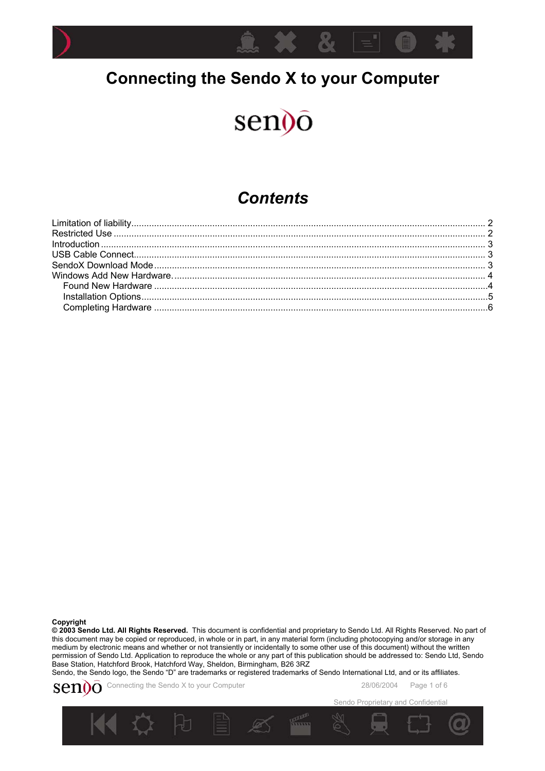

# **Connecting the Sendo X to your Computer**

# sen<sub>)</sub>o

### *Contents*

**Copyright** 

**© 2003 Sendo Ltd. All Rights Reserved.** This document is confidential and proprietary to Sendo Ltd. All Rights Reserved. No part of this document may be copied or reproduced, in whole or in part, in any material form (including photocopying and/or storage in any medium by electronic means and whether or not transiently or incidentally to some other use of this document) without the written permission of Sendo Ltd. Application to reproduce the whole or any part of this publication should be addressed to: Sendo Ltd, Sendo Base Station, Hatchford Brook, Hatchford Way, Sheldon, Birmingham, B26 3RZ

Sendo, the Sendo logo, the Sendo "D" are trademarks or registered trademarks of Sendo International Ltd, and or its affiliates.



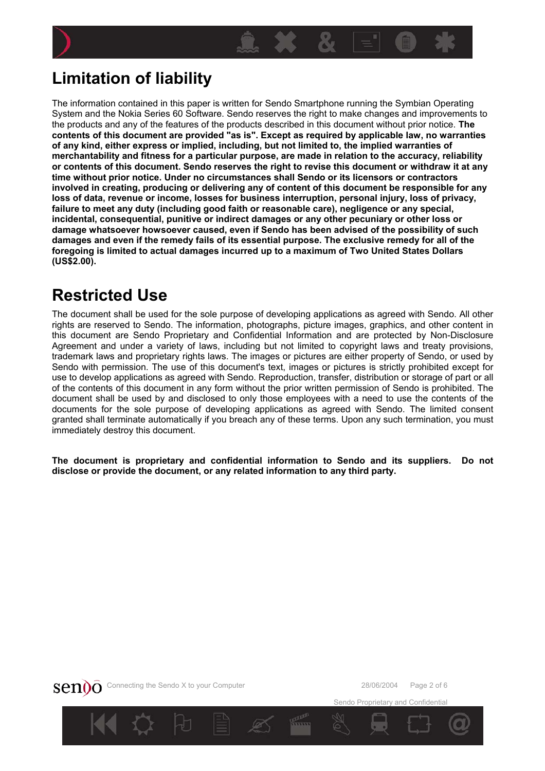<span id="page-1-0"></span>



The information contained in this paper is written for Sendo Smartphone running the Symbian Operating System and the Nokia Series 60 Software. Sendo reserves the right to make changes and improvements to the products and any of the features of the products described in this document without prior notice. **The contents of this document are provided "as is". Except as required by applicable law, no warranties of any kind, either express or implied, including, but not limited to, the implied warranties of merchantability and fitness for a particular purpose, are made in relation to the accuracy, reliability or contents of this document. Sendo reserves the right to revise this document or withdraw it at any time without prior notice. Under no circumstances shall Sendo or its licensors or contractors involved in creating, producing or delivering any of content of this document be responsible for any loss of data, revenue or income, losses for business interruption, personal injury, loss of privacy, failure to meet any duty (including good faith or reasonable care), negligence or any special, incidental, consequential, punitive or indirect damages or any other pecuniary or other loss or damage whatsoever howsoever caused, even if Sendo has been advised of the possibility of such damages and even if the remedy fails of its essential purpose. The exclusive remedy for all of the foregoing is limited to actual damages incurred up to a maximum of Two United States Dollars (US\$2.00).** 

## **Restricted Use**

The document shall be used for the sole purpose of developing applications as agreed with Sendo. All other rights are reserved to Sendo. The information, photographs, picture images, graphics, and other content in this document are Sendo Proprietary and Confidential Information and are protected by Non-Disclosure Agreement and under a variety of laws, including but not limited to copyright laws and treaty provisions, trademark laws and proprietary rights laws. The images or pictures are either property of Sendo, or used by Sendo with permission. The use of this document's text, images or pictures is strictly prohibited except for use to develop applications as agreed with Sendo. Reproduction, transfer, distribution or storage of part or all of the contents of this document in any form without the prior written permission of Sendo is prohibited. The document shall be used by and disclosed to only those employees with a need to use the contents of the documents for the sole purpose of developing applications as agreed with Sendo. The limited consent granted shall terminate automatically if you breach any of these terms. Upon any such termination, you must immediately destroy this document.

**The document is proprietary and confidential information to Sendo and its suppliers. Do not disclose or provide the document, or any related information to any third party.**



Sendo Proprietary and Confidential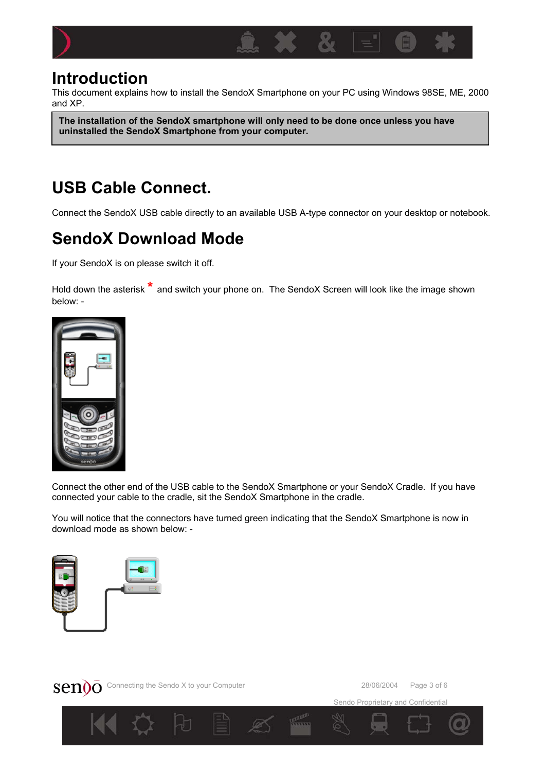<span id="page-2-0"></span>

### **Introduction**

This document explains how to install the SendoX Smartphone on your PC using Windows 98SE, ME, 2000 and XP.

**The installation of the SendoX smartphone will only need to be done once unless you have uninstalled the SendoX Smartphone from your computer.** 

# **USB Cable Connect.**

Connect the SendoX USB cable directly to an available USB A-type connector on your desktop or notebook.

# **SendoX Download Mode**

If your SendoX is on please switch it off.

Hold down the asterisk **\*** and switch your phone on. The SendoX Screen will look like the image shown below: -



Connect the other end of the USB cable to the SendoX Smartphone or your SendoX Cradle. If you have connected your cable to the cradle, sit the SendoX Smartphone in the cradle.

You will notice that the connectors have turned green indicating that the SendoX Smartphone is now in download mode as shown below: -





Sendo Proprietary and Confidential

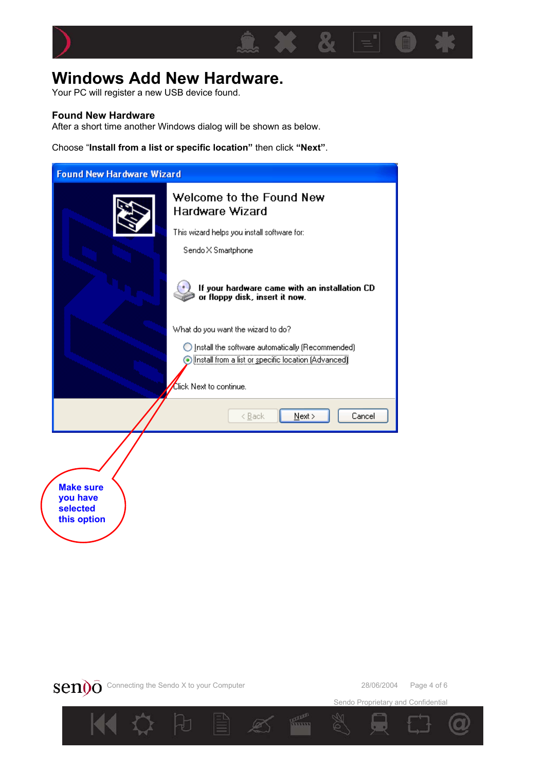<span id="page-3-0"></span>

### **Windows Add New Hardware.**

Your PC will register a new USB device found.

#### **Found New Hardware**

After a short time another Windows dialog will be shown as below.

Choose "**Install from a list or specific location"** then click **"Next"**.

| <b>Found New Hardware Wizard</b>                        |                                                                                 |  |  |
|---------------------------------------------------------|---------------------------------------------------------------------------------|--|--|
|                                                         | Welcome to the Found New<br><b>Hardware Wizard</b>                              |  |  |
|                                                         | This wizard helps you install software for:                                     |  |  |
|                                                         | Sendo X Smartphone                                                              |  |  |
|                                                         | If your hardware came with an installation CD<br>or floppy disk, insert it now. |  |  |
|                                                         | What do you want the wizard to do?                                              |  |  |
|                                                         | Install the software automatically (Recommended)                                |  |  |
|                                                         | ⊙ Install from a list or specific location (Advanced)                           |  |  |
|                                                         | Click Next to continue.                                                         |  |  |
|                                                         | Cancel<br>$N$ ext ><br>< <u>B</u> ack                                           |  |  |
| <b>Make sure</b><br>you have<br>selected<br>this option |                                                                                 |  |  |



Sendo Proprietary and Confidential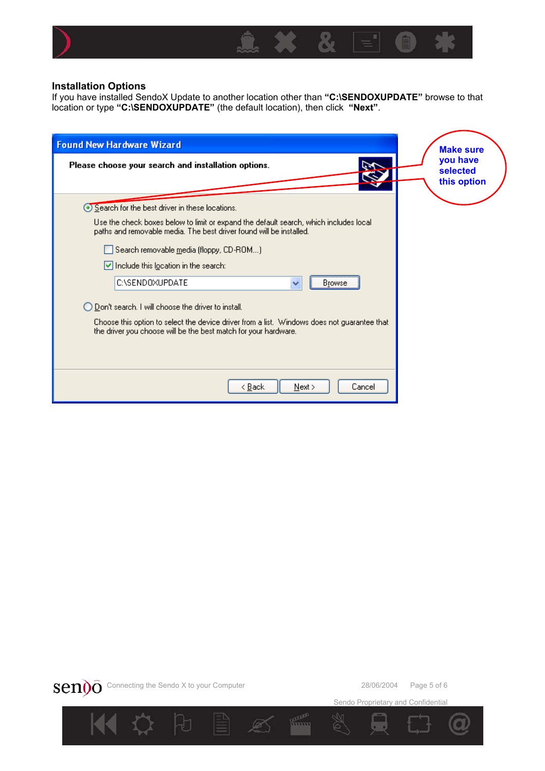<span id="page-4-0"></span>

#### **Installation Options**

If you have installed SendoX Update to another location other than **"C:\SENDOXUPDATE"** browse to that location or type **"C:\SENDOXUPDATE"** (the default location), then click **"Next"**.

| <b>Found New Hardware Wizard</b>                                                                                                                               | <b>Make sure</b>                    |
|----------------------------------------------------------------------------------------------------------------------------------------------------------------|-------------------------------------|
| Please choose your search and installation options.                                                                                                            | you have<br>selected<br>this option |
| Search for the best driver in these locations.                                                                                                                 |                                     |
| Use the check boxes below to limit or expand the default search, which includes local<br>paths and removable media. The best driver found will be installed.   |                                     |
| Search removable media (floppy, CD-ROM)                                                                                                                        |                                     |
| $\vee$ Include this location in the search:                                                                                                                    |                                     |
| C:\SENDOXUPDATE<br><b>Browse</b><br>v                                                                                                                          |                                     |
| ◯ Don't search. I will choose the driver to install.                                                                                                           |                                     |
| Choose this option to select the device driver from a list. Windows does not guarantee that<br>the driver you choose will be the best match for your hardware. |                                     |
|                                                                                                                                                                |                                     |
| < Back<br>Cancel<br>Next >                                                                                                                                     |                                     |



Sendo Proprietary and Confidential

mm